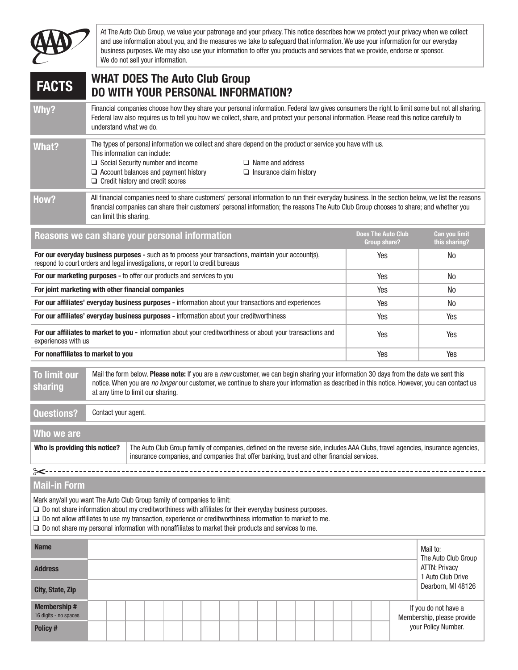

At The Auto Club Group, we value your patronage and your privacy. This notice describes how we protect your privacy when we collect and use information about you, and the measures we take to safeguard that information. We use your information for our everyday business purposes. We may also use your information to offer you products and services that we provide, endorse or sponsor. We do not sell your information.

## WHAT DOES The Auto Club Group FACTS FOR WHAT DUES THE AUTO GROUP FACTS DO WITH YOUR PERSONAL INFORMATION?

Why? Financial companies choose how they share your personal information. Federal law gives consumers the right to limit some but not all sharing. Federal law also requires us to tell you how we collect, share, and protect your personal information. Please read this notice carefully to understand what we do.

| <b>What?</b> | This information can include:<br>$\Box$ Social Security number and income<br>$\Box$ Account balances and payment history<br>$\Box$ Credit history and credit scores | The types of personal information we collect and share depend on the product or service you have with us.<br>$\Box$ Name and address<br>$\Box$ Insurance claim history |
|--------------|---------------------------------------------------------------------------------------------------------------------------------------------------------------------|------------------------------------------------------------------------------------------------------------------------------------------------------------------------|
|              |                                                                                                                                                                     |                                                                                                                                                                        |

How? All financial companies need to share customers' personal information to run their everyday business. In the section below, we list the reasons financial companies can share their customers' personal information; the reasons The Auto Club Group chooses to share; and whether you can limit this sharing.

| Reasons we can share your personal information                                                                                                                                        | <b>Does The Auto Club</b><br><b>Group share?</b> | <b>Can you limit</b><br>this sharing? |
|---------------------------------------------------------------------------------------------------------------------------------------------------------------------------------------|--------------------------------------------------|---------------------------------------|
| For our everyday business purposes - such as to process your transactions, maintain your account(s),<br>respond to court orders and legal investigations, or report to credit bureaus | Yes                                              | N <sub>0</sub>                        |
| For our marketing purposes - to offer our products and services to you                                                                                                                | Yes                                              | No                                    |
| For joint marketing with other financial companies                                                                                                                                    | Yes                                              | No                                    |
| For our affiliates' everyday business purposes - information about your transactions and experiences                                                                                  | Yes                                              | No                                    |
| For our affiliates' everyday business purposes - information about your creditworthiness                                                                                              | Yes                                              | Yes                                   |
| For our affiliates to market to you - information about your creditworthiness or about your transactions and<br>experiences with us                                                   | Yes                                              | Yes                                   |
| For nonaffiliates to market to you                                                                                                                                                    | Yes                                              | Yes                                   |

To limit our sharing Mail the form below. Please note: If you are a *new* customer, we can begin sharing your information 30 days from the date we sent this notice. When you are *no longer* our customer, we continue to share your information as described in this notice. However, you can contact us at any time to limit our sharing.

Questions? Contact your agent.

| Who we are                    |                                                                                                                                                                                                                              |
|-------------------------------|------------------------------------------------------------------------------------------------------------------------------------------------------------------------------------------------------------------------------|
| Who is providing this notice? | The Auto Club Group family of companies, defined on the reverse side, includes AAA Clubs, travel agencies, insurance agencies,<br>insurance companies, and companies that offer banking, trust and other financial services. |

## Mail-in Form

⊱>

Mark any/all you want The Auto Club Group family of companies to limit:

❑ Do not share information about my creditworthiness with affiliates for their everyday business purposes.

- ❑ Do not allow affiliates to use my transaction, experience or creditworthiness information to market to me.
- ❑ Do not share my personal information with nonaffiliates to market their products and services to me.

| <b>Name</b>                                 |  |  |  |  |  |  |  |  |                                                    | Mail to:<br>The Auto Club Group           |  |  |  |
|---------------------------------------------|--|--|--|--|--|--|--|--|----------------------------------------------------|-------------------------------------------|--|--|--|
| <b>Address</b>                              |  |  |  |  |  |  |  |  |                                                    | <b>ATTN: Privacy</b><br>1 Auto Club Drive |  |  |  |
| City, State, Zip                            |  |  |  |  |  |  |  |  |                                                    | Dearborn, MI 48126                        |  |  |  |
| <b>Membership#</b><br>16 digits - no spaces |  |  |  |  |  |  |  |  | If you do not have a<br>Membership, please provide |                                           |  |  |  |
| Policy#                                     |  |  |  |  |  |  |  |  | your Policy Number.                                |                                           |  |  |  |